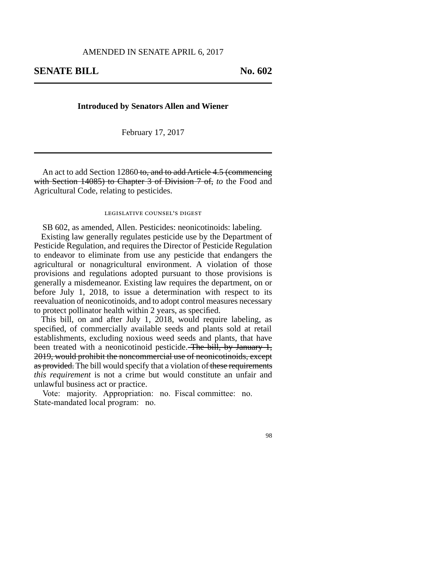## **Introduced by Senators Allen and Wiener**

February 17, 2017

An act to add Section 12860 to, and to add Article 4.5 (commencing with Section 14085) to Chapter 3 of Division 7 of, *to* the Food and Agricultural Code, relating to pesticides.

## legislative counsel's digest

SB 602, as amended, Allen. Pesticides: neonicotinoids: labeling.

Existing law generally regulates pesticide use by the Department of Pesticide Regulation, and requires the Director of Pesticide Regulation to endeavor to eliminate from use any pesticide that endangers the agricultural or nonagricultural environment. A violation of those provisions and regulations adopted pursuant to those provisions is generally a misdemeanor. Existing law requires the department, on or before July 1, 2018, to issue a determination with respect to its reevaluation of neonicotinoids, and to adopt control measures necessary to protect pollinator health within 2 years, as specified.

This bill, on and after July 1, 2018, would require labeling, as specified, of commercially available seeds and plants sold at retail establishments, excluding noxious weed seeds and plants, that have been treated with a neonicotinoid pesticide. The bill, by January 1, 2019, would prohibit the noncommercial use of neonicotinoids, except as provided. The bill would specify that a violation of these requirements *this requirement* is not a crime but would constitute an unfair and unlawful business act or practice.

Vote: majority. Appropriation: no. Fiscal committee: no. State-mandated local program: no.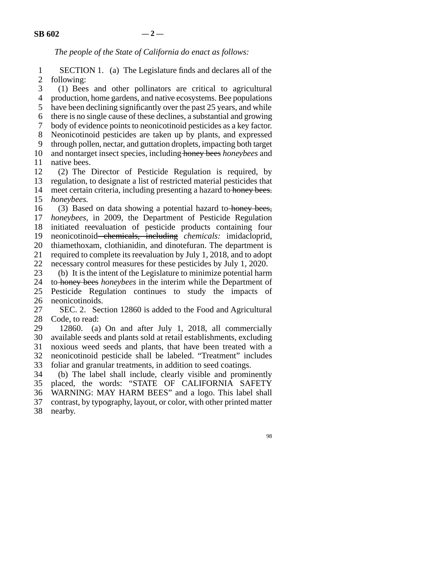*The people of the State of California do enact as follows:*

1 SECTION 1. (a) The Legislature finds and declares all of the 2 following:

3 (1) Bees and other pollinators are critical to agricultural

4 production, home gardens, and native ecosystems. Bee populations 5 have been declining significantly over the past 25 years, and while

line 6 there is no single cause of these declines, a substantial and growing

7 body of evidence points to neonicotinoid pesticides as a key factor.

8 Neonicotinoid pesticides are taken up by plants, and expressed

9 through pollen, nectar, and guttation droplets, impacting both target 10 and nontarget insect species, including honey bees *honeybees* and

11 native bees.

12 (2) The Director of Pesticide Regulation is required, by 13 regulation, to designate a list of restricted material pesticides that

14 meet certain criteria, including presenting a hazard to honey bees.

15 *honeybees.* 

16 (3) Based on data showing a potential hazard to honey bees, 17 *honeybees*, in 2009, the Department of Pesticide Regulation

18 initiated reevaluation of pesticide products containing four

19 neonicotinoid chemicals, including *chemicals:* imidacloprid,

20 thiamethoxam, clothianidin, and dinotefuran. The department is

21 required to complete its reevaluation by July 1, 2018, and to adopt

22 necessary control measures for these pesticides by July 1, 2020.<br>23 (b) It is the intent of the Legislature to minimize potential harm

(b) It is the intent of the Legislature to minimize potential harm 24 to honey bees *honeybees* in the interim while the Department of 25 Pesticide Regulation continues to study the impacts of 26 neonicotinoids.

27 SEC. 2. Section 12860 is added to the Food and Agricultural 28 Code, to read:

29 12860. (a) On and after July 1, 2018, all commercially 30 available seeds and plants sold at retail establishments, excluding 31 noxious weed seeds and plants, that have been treated with a line 32 neonicotinoid pesticide shall be labeled. "Treatment" includes 33 foliar and granular treatments, in addition to seed coatings.

34 (b) The label shall include, clearly visible and prominently<br>35 placed, the words: "STATE OF CALIFORNIA SAFETY placed, the words: "STATE OF CALIFORNIA SAFETY 36 WARNING: MAY HARM BEES" and a logo. This label shall

37 contrast, by typography, layout, or color, with other printed matter nearby.

nearby.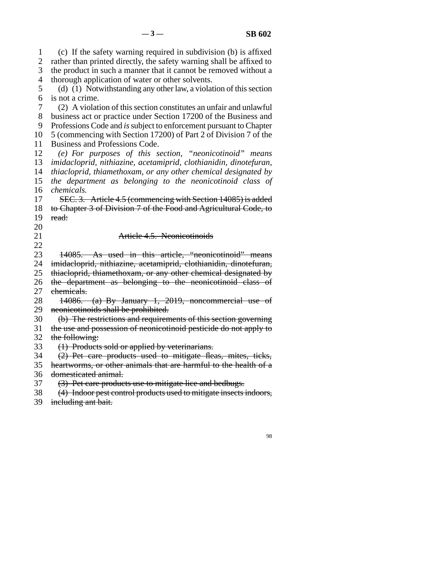line 1 (c) If the safety warning required in subdivision (b) is affixed 2 rather than printed directly, the safety warning shall be affixed to 3 the product in such a manner that it cannot be removed without a 4 thorough application of water or other solvents. 5 (d) (1) Notwithstanding any other law, a violation of this section 6 is not a crime. line 7 (2) A violation of this section constitutes an unfair and unlawful 8 business act or practice under Section 17200 of the Business and 9 Professions Code and *is* subject to enforcement pursuant to Chapter 10 5 (commencing with Section 17200) of Part 2 of Division 7 of the 11 Business and Professions Code. 12 *(e)* For purposes of this section, "neonicotinoid" means 13 *imidacloprid, nithiazine, acetamiprid, clothianidin, dinotefuran,* 14 *thiacloprid, thiamethoxam, or any other chemical designated by* 15 *the department as belonging to the neonicotinoid class of* 16 *chemicals.* 17 SEC. 3. Article 4.5 (commencing with Section 14085) is added 18 to Chapter 3 of Division 7 of the Food and Agricultural Code, to 19 read: 20 21 **Article 4.5. Neonicotinoids**  $\frac{22}{23}$ 14085. As used in this article, "neonicotinoid" means 24 imidacloprid, nithiazine, acetamiprid, clothianidin, dinotefuran, 25 thiacloprid, thiamethoxam, or any other chemical designated by 26 the department as belonging to the neonicotinoid class of 27 ehemicals. 28  $14086.$  (a) By January 1, 2019, noncommercial use of 29 neonicotinoids shall be prohibited. 30 (b) The restrictions and requirements of this section governing 31 the use and possession of neonicotinoid pesticide do not apply to 32 the following: 33 (1) Products sold or applied by veterinarians. 34 (2) Pet care products used to mitigate fleas, mites, ticks, 35 heartworms, or other animals that are harmful to the health of a 36 domesticated animal.

37 (3) Pet care products use to mitigate lice and bedbugs.

38 (4) Indoor pest control products used to mitigate insects indoors,

39 including ant bait.